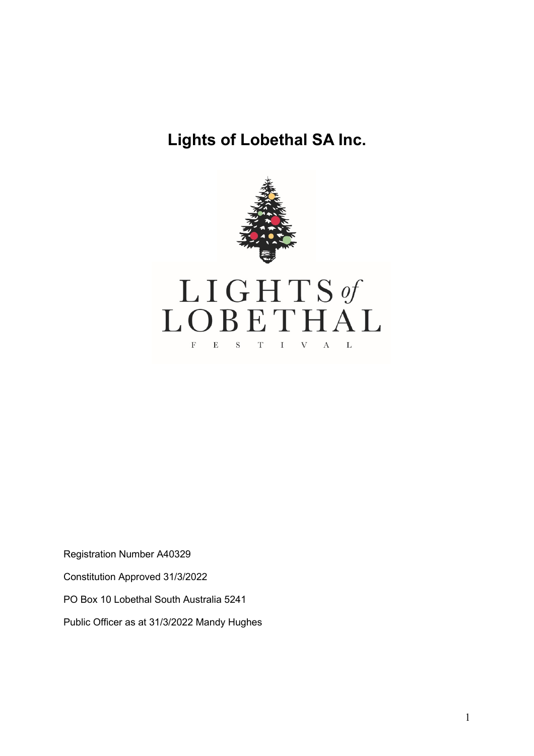# **Lights of Lobethal SA Inc.**



Registration Number A40329

Constitution Approved 31/3/2022

PO Box 10 Lobethal South Australia 5241

Public Officer as at 31/3/2022 Mandy Hughes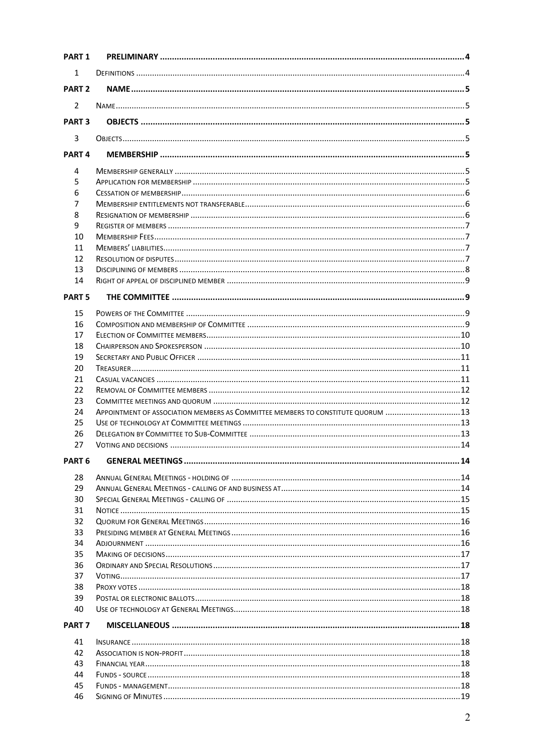| <b>PART 1</b>     |                                                                                  |  |
|-------------------|----------------------------------------------------------------------------------|--|
| 1                 |                                                                                  |  |
| PART <sub>2</sub> |                                                                                  |  |
| $\overline{2}$    |                                                                                  |  |
| PART <sub>3</sub> |                                                                                  |  |
|                   |                                                                                  |  |
| 3                 |                                                                                  |  |
| PART <sub>4</sub> |                                                                                  |  |
| 4                 |                                                                                  |  |
| 5                 |                                                                                  |  |
| 6                 |                                                                                  |  |
| 7                 |                                                                                  |  |
| 8                 |                                                                                  |  |
| 9                 |                                                                                  |  |
| 10                |                                                                                  |  |
| 11                |                                                                                  |  |
| 12                |                                                                                  |  |
| 13                |                                                                                  |  |
| 14                |                                                                                  |  |
| <b>PART 5</b>     |                                                                                  |  |
| 15                |                                                                                  |  |
| 16                |                                                                                  |  |
| 17                |                                                                                  |  |
| 18                |                                                                                  |  |
| 19                |                                                                                  |  |
| 20                |                                                                                  |  |
| 21                |                                                                                  |  |
| 22                |                                                                                  |  |
| 23                |                                                                                  |  |
| 24                | APPOINTMENT OF ASSOCIATION MEMBERS AS COMMITTEE MEMBERS TO CONSTITUTE QUORUM  13 |  |
| 25                |                                                                                  |  |
| 26                |                                                                                  |  |
| 27                |                                                                                  |  |
| PART <sub>6</sub> |                                                                                  |  |
| 28                |                                                                                  |  |
| 29                |                                                                                  |  |
| 30                |                                                                                  |  |
| 31                |                                                                                  |  |
| 32                |                                                                                  |  |
| 33                |                                                                                  |  |
| 34                |                                                                                  |  |
| 35                |                                                                                  |  |
| 36                |                                                                                  |  |
| 37                |                                                                                  |  |
| 38                |                                                                                  |  |
| 39                |                                                                                  |  |
| 40                |                                                                                  |  |
| PART <sub>7</sub> |                                                                                  |  |
| 41                |                                                                                  |  |
| 42                |                                                                                  |  |
| 43                |                                                                                  |  |
| 44                |                                                                                  |  |
| 45                |                                                                                  |  |
| 46                |                                                                                  |  |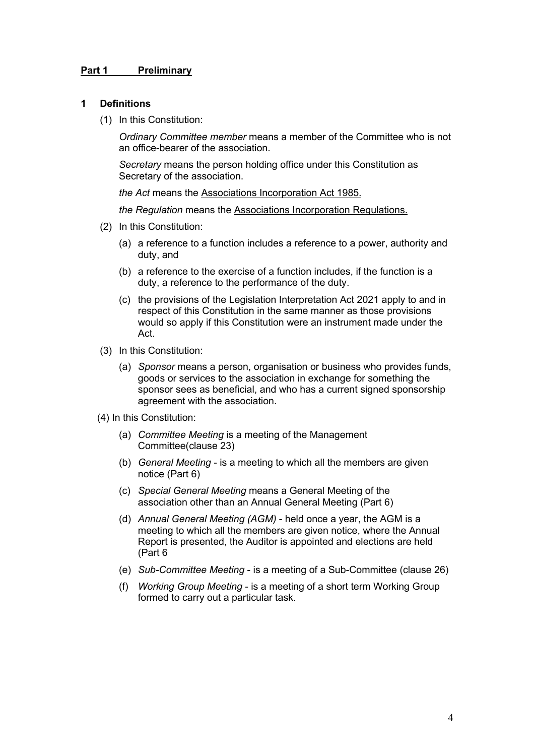#### **Part 1 Preliminary**

#### **1 Definitions**

(1) In this Constitution:

*Ordinary Committee member* means a member of the Committee who is not an office-bearer of the association.

*Secretary* means the person holding office under this Constitution as Secretary of the association.

*the Act* means the Associations Incorporation Act 1985.

*the Regulation* means the Associations Incorporation Regulations.

- (2) In this Constitution:
	- (a) a reference to a function includes a reference to a power, authority and duty, and
	- (b) a reference to the exercise of a function includes, if the function is a duty, a reference to the performance of the duty.
	- (c) the provisions of the Legislation Interpretation Act 2021 apply to and in respect of this Constitution in the same manner as those provisions would so apply if this Constitution were an instrument made under the Act.
- (3) In this Constitution:
	- (a) *Sponsor* means a person, organisation or business who provides funds, goods or services to the association in exchange for something the sponsor sees as beneficial, and who has a current signed sponsorship agreement with the association.
- (4) In this Constitution:
	- (a) *Committee Meeting* is a meeting of the Management Committee(clause 23)
	- (b) *General Meeting* is a meeting to which all the members are given notice (Part 6)
	- (c) *Special General Meeting* means a General Meeting of the association other than an Annual General Meeting (Part 6)
	- (d) *Annual General Meeting (AGM)* held once a year, the AGM is a meeting to which all the members are given notice, where the Annual Report is presented, the Auditor is appointed and elections are held (Part 6
	- (e) *Sub-Committee Meeting* is a meeting of a Sub-Committee (clause 26)
	- (f) *Working Group Meeting* is a meeting of a short term Working Group formed to carry out a particular task.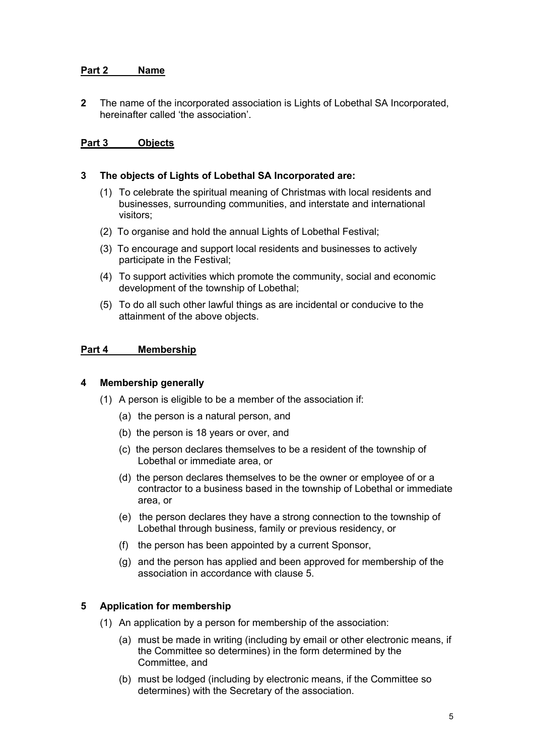# **Part 2 Name**

**2** The name of the incorporated association is Lights of Lobethal SA Incorporated, hereinafter called 'the association'.

# **Part 3 Objects**

#### **3 The objects of Lights of Lobethal SA Incorporated are:**

- (1) To celebrate the spiritual meaning of Christmas with local residents and businesses, surrounding communities, and interstate and international visitors;
- (2) To organise and hold the annual Lights of Lobethal Festival;
- (3) To encourage and support local residents and businesses to actively participate in the Festival;
- (4) To support activities which promote the community, social and economic development of the township of Lobethal;
- (5) To do all such other lawful things as are incidental or conducive to the attainment of the above objects.

## **Part 4 Membership**

#### **4 Membership generally**

- (1) A person is eligible to be a member of the association if:
	- (a) the person is a natural person, and
	- (b) the person is 18 years or over, and
	- (c) the person declares themselves to be a resident of the township of Lobethal or immediate area, or
	- (d) the person declares themselves to be the owner or employee of or a contractor to a business based in the township of Lobethal or immediate area, or
	- (e) the person declares they have a strong connection to the township of Lobethal through business, family or previous residency, or
	- (f) the person has been appointed by a current Sponsor,
	- (g) and the person has applied and been approved for membership of the association in accordance with clause 5.

# **5 Application for membership**

- (1) An application by a person for membership of the association:
	- (a) must be made in writing (including by email or other electronic means, if the Committee so determines) in the form determined by the Committee, and
	- (b) must be lodged (including by electronic means, if the Committee so determines) with the Secretary of the association.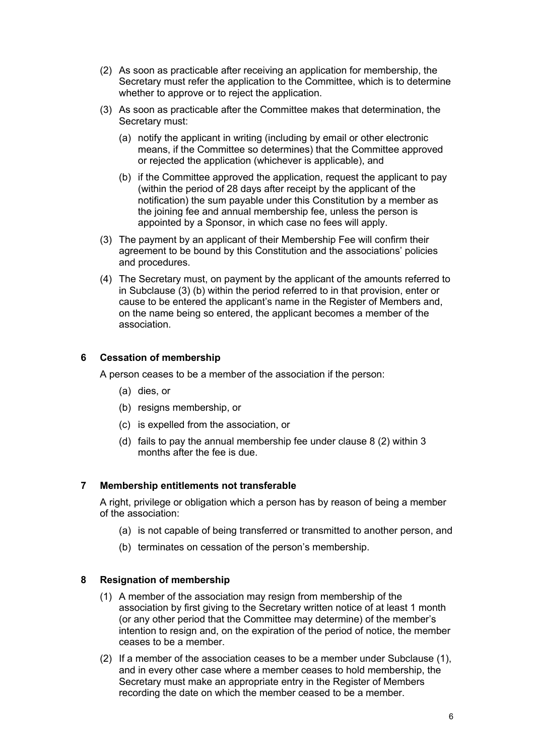- (2) As soon as practicable after receiving an application for membership, the Secretary must refer the application to the Committee, which is to determine whether to approve or to reject the application.
- (3) As soon as practicable after the Committee makes that determination, the Secretary must:
	- (a) notify the applicant in writing (including by email or other electronic means, if the Committee so determines) that the Committee approved or rejected the application (whichever is applicable), and
	- (b) if the Committee approved the application, request the applicant to pay (within the period of 28 days after receipt by the applicant of the notification) the sum payable under this Constitution by a member as the joining fee and annual membership fee, unless the person is appointed by a Sponsor, in which case no fees will apply.
- (3) The payment by an applicant of their Membership Fee will confirm their agreement to be bound by this Constitution and the associations' policies and procedures.
- (4) The Secretary must, on payment by the applicant of the amounts referred to in Subclause (3) (b) within the period referred to in that provision, enter or cause to be entered the applicant's name in the Register of Members and, on the name being so entered, the applicant becomes a member of the association.

# **6 Cessation of membership**

A person ceases to be a member of the association if the person:

- (a) dies, or
- (b) resigns membership, or
- (c) is expelled from the association, or
- (d) fails to pay the annual membership fee under clause 8 (2) within 3 months after the fee is due.

# **7 Membership entitlements not transferable**

A right, privilege or obligation which a person has by reason of being a member of the association:

- (a) is not capable of being transferred or transmitted to another person, and
- (b) terminates on cessation of the person's membership.

#### **8 Resignation of membership**

- (1) A member of the association may resign from membership of the association by first giving to the Secretary written notice of at least 1 month (or any other period that the Committee may determine) of the member's intention to resign and, on the expiration of the period of notice, the member ceases to be a member.
- (2) If a member of the association ceases to be a member under Subclause (1), and in every other case where a member ceases to hold membership, the Secretary must make an appropriate entry in the Register of Members recording the date on which the member ceased to be a member.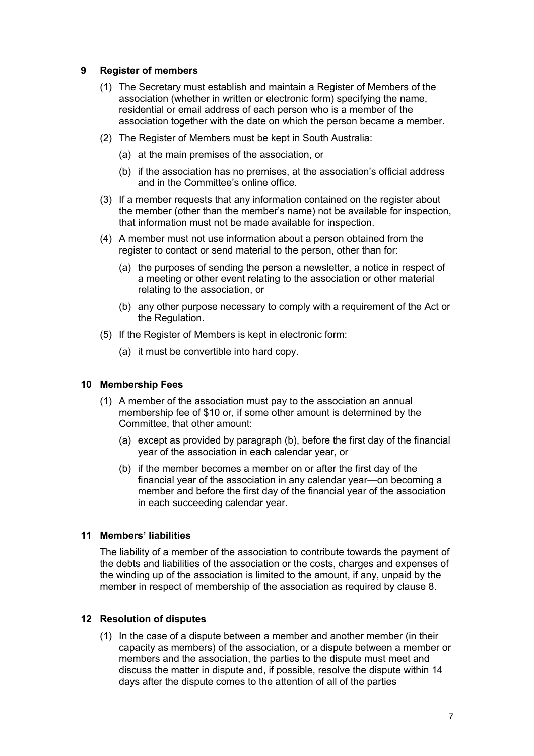# **9 Register of members**

- (1) The Secretary must establish and maintain a Register of Members of the association (whether in written or electronic form) specifying the name, residential or email address of each person who is a member of the association together with the date on which the person became a member.
- (2) The Register of Members must be kept in South Australia:
	- (a) at the main premises of the association, or
	- (b) if the association has no premises, at the association's official address and in the Committee's online office.
- (3) If a member requests that any information contained on the register about the member (other than the member's name) not be available for inspection, that information must not be made available for inspection.
- (4) A member must not use information about a person obtained from the register to contact or send material to the person, other than for:
	- (a) the purposes of sending the person a newsletter, a notice in respect of a meeting or other event relating to the association or other material relating to the association, or
	- (b) any other purpose necessary to comply with a requirement of the Act or the Regulation.
- (5) If the Register of Members is kept in electronic form:
	- (a) it must be convertible into hard copy.

#### **10 Membership Fees**

- (1) A member of the association must pay to the association an annual membership fee of \$10 or, if some other amount is determined by the Committee, that other amount:
	- (a) except as provided by paragraph (b), before the first day of the financial year of the association in each calendar year, or
	- (b) if the member becomes a member on or after the first day of the financial year of the association in any calendar year—on becoming a member and before the first day of the financial year of the association in each succeeding calendar year.

#### **11 Members' liabilities**

The liability of a member of the association to contribute towards the payment of the debts and liabilities of the association or the costs, charges and expenses of the winding up of the association is limited to the amount, if any, unpaid by the member in respect of membership of the association as required by clause 8.

#### **12 Resolution of disputes**

(1) In the case of a dispute between a member and another member (in their capacity as members) of the association, or a dispute between a member or members and the association, the parties to the dispute must meet and discuss the matter in dispute and, if possible, resolve the dispute within 14 days after the dispute comes to the attention of all of the parties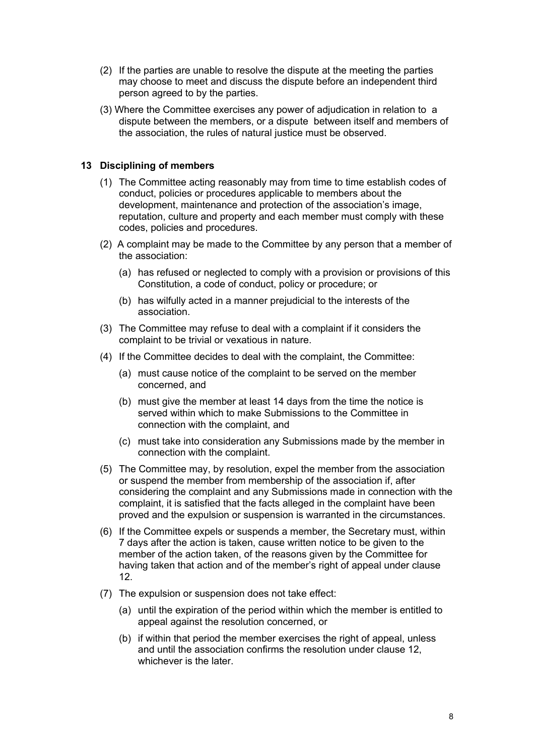- (2) If the parties are unable to resolve the dispute at the meeting the parties may choose to meet and discuss the dispute before an independent third person agreed to by the parties.
- (3) Where the Committee exercises any power of adjudication in relation to a dispute between the members, or a dispute between itself and members of the association, the rules of natural justice must be observed.

# **13 Disciplining of members**

- (1) The Committee acting reasonably may from time to time establish codes of conduct, policies or procedures applicable to members about the development, maintenance and protection of the association's image, reputation, culture and property and each member must comply with these codes, policies and procedures.
- (2) A complaint may be made to the Committee by any person that a member of the association:
	- (a) has refused or neglected to comply with a provision or provisions of this Constitution, a code of conduct, policy or procedure; or
	- (b) has wilfully acted in a manner prejudicial to the interests of the association.
- (3) The Committee may refuse to deal with a complaint if it considers the complaint to be trivial or vexatious in nature.
- (4) If the Committee decides to deal with the complaint, the Committee:
	- (a) must cause notice of the complaint to be served on the member concerned, and
	- (b) must give the member at least 14 days from the time the notice is served within which to make Submissions to the Committee in connection with the complaint, and
	- (c) must take into consideration any Submissions made by the member in connection with the complaint.
- (5) The Committee may, by resolution, expel the member from the association or suspend the member from membership of the association if, after considering the complaint and any Submissions made in connection with the complaint, it is satisfied that the facts alleged in the complaint have been proved and the expulsion or suspension is warranted in the circumstances.
- (6) If the Committee expels or suspends a member, the Secretary must, within 7 days after the action is taken, cause written notice to be given to the member of the action taken, of the reasons given by the Committee for having taken that action and of the member's right of appeal under clause 12.
- (7) The expulsion or suspension does not take effect:
	- (a) until the expiration of the period within which the member is entitled to appeal against the resolution concerned, or
	- (b) if within that period the member exercises the right of appeal, unless and until the association confirms the resolution under clause 12, whichever is the later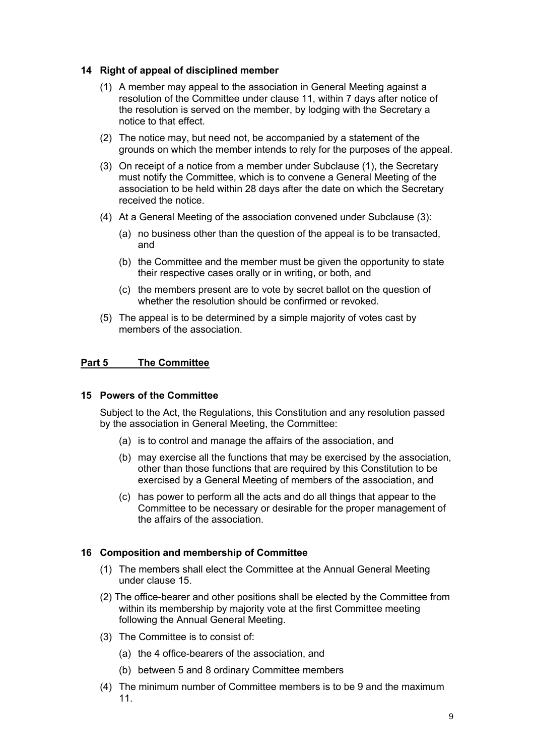# **14 Right of appeal of disciplined member**

- (1) A member may appeal to the association in General Meeting against a resolution of the Committee under clause 11, within 7 days after notice of the resolution is served on the member, by lodging with the Secretary a notice to that effect.
- (2) The notice may, but need not, be accompanied by a statement of the grounds on which the member intends to rely for the purposes of the appeal.
- (3) On receipt of a notice from a member under Subclause (1), the Secretary must notify the Committee, which is to convene a General Meeting of the association to be held within 28 days after the date on which the Secretary received the notice.
- (4) At a General Meeting of the association convened under Subclause (3):
	- (a) no business other than the question of the appeal is to be transacted, and
	- (b) the Committee and the member must be given the opportunity to state their respective cases orally or in writing, or both, and
	- (c) the members present are to vote by secret ballot on the question of whether the resolution should be confirmed or revoked.
- (5) The appeal is to be determined by a simple majority of votes cast by members of the association.

# **Part 5 The Committee**

# **15 Powers of the Committee**

Subject to the Act, the Regulations, this Constitution and any resolution passed by the association in General Meeting, the Committee:

- (a) is to control and manage the affairs of the association, and
- (b) may exercise all the functions that may be exercised by the association, other than those functions that are required by this Constitution to be exercised by a General Meeting of members of the association, and
- (c) has power to perform all the acts and do all things that appear to the Committee to be necessary or desirable for the proper management of the affairs of the association.

# **16 Composition and membership of Committee**

- (1) The members shall elect the Committee at the Annual General Meeting under clause 15.
- (2) The office-bearer and other positions shall be elected by the Committee from within its membership by majority vote at the first Committee meeting following the Annual General Meeting.
- (3) The Committee is to consist of:
	- (a) the 4 office-bearers of the association, and
	- (b) between 5 and 8 ordinary Committee members
- (4) The minimum number of Committee members is to be 9 and the maximum 11.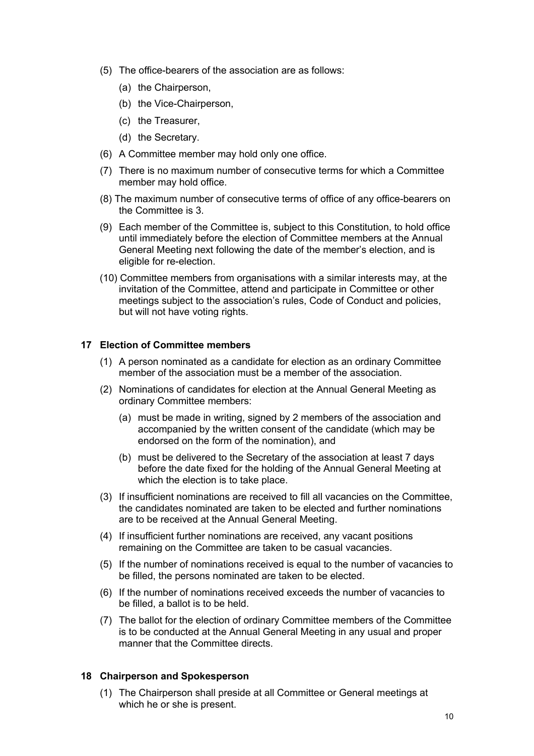- (5) The office-bearers of the association are as follows:
	- (a) the Chairperson,
	- (b) the Vice-Chairperson.
	- (c) the Treasurer,
	- (d) the Secretary.
- (6) A Committee member may hold only one office.
- (7) There is no maximum number of consecutive terms for which a Committee member may hold office.
- (8) The maximum number of consecutive terms of office of any office-bearers on the Committee is 3.
- (9) Each member of the Committee is, subject to this Constitution, to hold office until immediately before the election of Committee members at the Annual General Meeting next following the date of the member's election, and is eligible for re-election.
- (10) Committee members from organisations with a similar interests may, at the invitation of the Committee, attend and participate in Committee or other meetings subject to the association's rules, Code of Conduct and policies, but will not have voting rights.

## **17 Election of Committee members**

- (1) A person nominated as a candidate for election as an ordinary Committee member of the association must be a member of the association.
- (2) Nominations of candidates for election at the Annual General Meeting as ordinary Committee members:
	- (a) must be made in writing, signed by 2 members of the association and accompanied by the written consent of the candidate (which may be endorsed on the form of the nomination), and
	- (b) must be delivered to the Secretary of the association at least 7 days before the date fixed for the holding of the Annual General Meeting at which the election is to take place.
- (3) If insufficient nominations are received to fill all vacancies on the Committee, the candidates nominated are taken to be elected and further nominations are to be received at the Annual General Meeting.
- (4) If insufficient further nominations are received, any vacant positions remaining on the Committee are taken to be casual vacancies.
- (5) If the number of nominations received is equal to the number of vacancies to be filled, the persons nominated are taken to be elected.
- (6) If the number of nominations received exceeds the number of vacancies to be filled, a ballot is to be held.
- (7) The ballot for the election of ordinary Committee members of the Committee is to be conducted at the Annual General Meeting in any usual and proper manner that the Committee directs.

# **18 Chairperson and Spokesperson**

(1) The Chairperson shall preside at all Committee or General meetings at which he or she is present.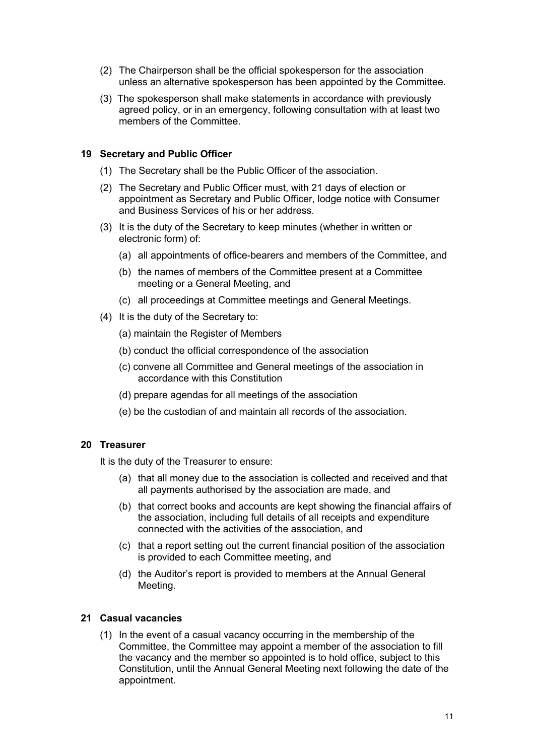- (2) The Chairperson shall be the official spokesperson for the association unless an alternative spokesperson has been appointed by the Committee.
- (3) The spokesperson shall make statements in accordance with previously agreed policy, or in an emergency, following consultation with at least two members of the Committee.

# **19 Secretary and Public Officer**

- (1) The Secretary shall be the Public Officer of the association.
- (2) The Secretary and Public Officer must, with 21 days of election or appointment as Secretary and Public Officer, lodge notice with Consumer and Business Services of his or her address.
- (3) It is the duty of the Secretary to keep minutes (whether in written or electronic form) of:
	- (a) all appointments of office-bearers and members of the Committee, and
	- (b) the names of members of the Committee present at a Committee meeting or a General Meeting, and
	- (c) all proceedings at Committee meetings and General Meetings.
- (4) It is the duty of the Secretary to:
	- (a) maintain the Register of Members
	- (b) conduct the official correspondence of the association
	- (c) convene all Committee and General meetings of the association in accordance with this Constitution
	- (d) prepare agendas for all meetings of the association
	- (e) be the custodian of and maintain all records of the association.

#### **20 Treasurer**

It is the duty of the Treasurer to ensure:

- (a) that all money due to the association is collected and received and that all payments authorised by the association are made, and
- (b) that correct books and accounts are kept showing the financial affairs of the association, including full details of all receipts and expenditure connected with the activities of the association, and
- (c) that a report setting out the current financial position of the association is provided to each Committee meeting, and
- (d) the Auditor's report is provided to members at the Annual General Meeting.

#### **21 Casual vacancies**

(1) In the event of a casual vacancy occurring in the membership of the Committee, the Committee may appoint a member of the association to fill the vacancy and the member so appointed is to hold office, subject to this Constitution, until the Annual General Meeting next following the date of the appointment.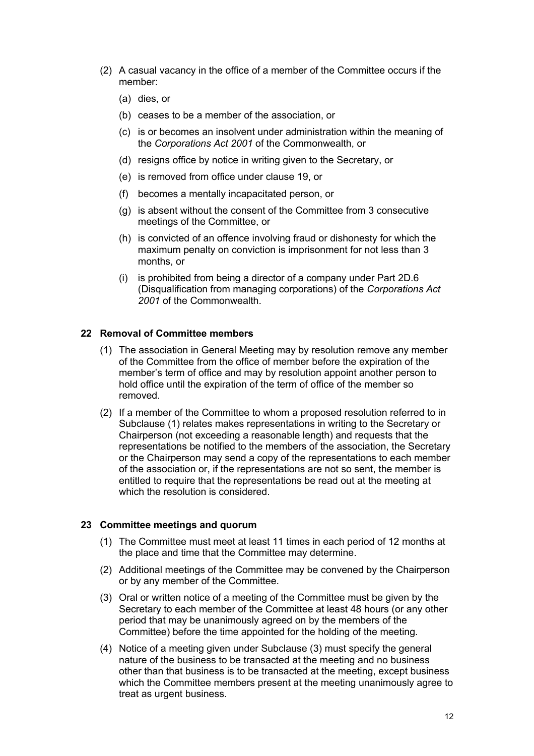- (2) A casual vacancy in the office of a member of the Committee occurs if the member:
	- (a) dies, or
	- (b) ceases to be a member of the association, or
	- (c) is or becomes an insolvent under administration within the meaning of the *Corporations Act 2001* of the Commonwealth, or
	- (d) resigns office by notice in writing given to the Secretary, or
	- (e) is removed from office under clause 19, or
	- (f) becomes a mentally incapacitated person, or
	- (g) is absent without the consent of the Committee from 3 consecutive meetings of the Committee, or
	- (h) is convicted of an offence involving fraud or dishonesty for which the maximum penalty on conviction is imprisonment for not less than 3 months, or
	- (i) is prohibited from being a director of a company under Part 2D.6 (Disqualification from managing corporations) of the *Corporations Act 2001* of the Commonwealth.

# **22 Removal of Committee members**

- (1) The association in General Meeting may by resolution remove any member of the Committee from the office of member before the expiration of the member's term of office and may by resolution appoint another person to hold office until the expiration of the term of office of the member so removed.
- (2) If a member of the Committee to whom a proposed resolution referred to in Subclause (1) relates makes representations in writing to the Secretary or Chairperson (not exceeding a reasonable length) and requests that the representations be notified to the members of the association, the Secretary or the Chairperson may send a copy of the representations to each member of the association or, if the representations are not so sent, the member is entitled to require that the representations be read out at the meeting at which the resolution is considered.

# **23 Committee meetings and quorum**

- (1) The Committee must meet at least 11 times in each period of 12 months at the place and time that the Committee may determine.
- (2) Additional meetings of the Committee may be convened by the Chairperson or by any member of the Committee.
- (3) Oral or written notice of a meeting of the Committee must be given by the Secretary to each member of the Committee at least 48 hours (or any other period that may be unanimously agreed on by the members of the Committee) before the time appointed for the holding of the meeting.
- (4) Notice of a meeting given under Subclause (3) must specify the general nature of the business to be transacted at the meeting and no business other than that business is to be transacted at the meeting, except business which the Committee members present at the meeting unanimously agree to treat as urgent business.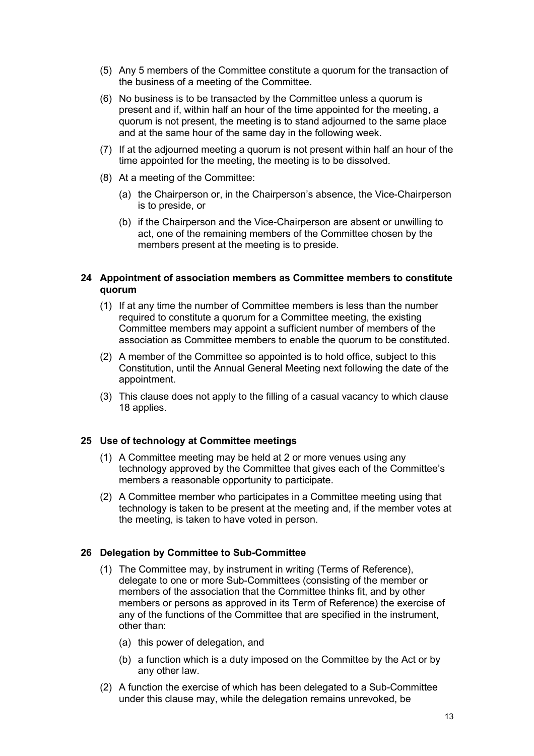- (5) Any 5 members of the Committee constitute a quorum for the transaction of the business of a meeting of the Committee.
- (6) No business is to be transacted by the Committee unless a quorum is present and if, within half an hour of the time appointed for the meeting, a quorum is not present, the meeting is to stand adjourned to the same place and at the same hour of the same day in the following week.
- (7) If at the adjourned meeting a quorum is not present within half an hour of the time appointed for the meeting, the meeting is to be dissolved.
- (8) At a meeting of the Committee:
	- (a) the Chairperson or, in the Chairperson's absence, the Vice-Chairperson is to preside, or
	- (b) if the Chairperson and the Vice-Chairperson are absent or unwilling to act, one of the remaining members of the Committee chosen by the members present at the meeting is to preside.

# **24 Appointment of association members as Committee members to constitute quorum**

- (1) If at any time the number of Committee members is less than the number required to constitute a quorum for a Committee meeting, the existing Committee members may appoint a sufficient number of members of the association as Committee members to enable the quorum to be constituted.
- (2) A member of the Committee so appointed is to hold office, subject to this Constitution, until the Annual General Meeting next following the date of the appointment.
- (3) This clause does not apply to the filling of a casual vacancy to which clause 18 applies.

# **25 Use of technology at Committee meetings**

- (1) A Committee meeting may be held at 2 or more venues using any technology approved by the Committee that gives each of the Committee's members a reasonable opportunity to participate.
- (2) A Committee member who participates in a Committee meeting using that technology is taken to be present at the meeting and, if the member votes at the meeting, is taken to have voted in person.

# **26 Delegation by Committee to Sub-Committee**

- (1) The Committee may, by instrument in writing (Terms of Reference), delegate to one or more Sub-Committees (consisting of the member or members of the association that the Committee thinks fit, and by other members or persons as approved in its Term of Reference) the exercise of any of the functions of the Committee that are specified in the instrument, other than:
	- (a) this power of delegation, and
	- (b) a function which is a duty imposed on the Committee by the Act or by any other law.
- (2) A function the exercise of which has been delegated to a Sub-Committee under this clause may, while the delegation remains unrevoked, be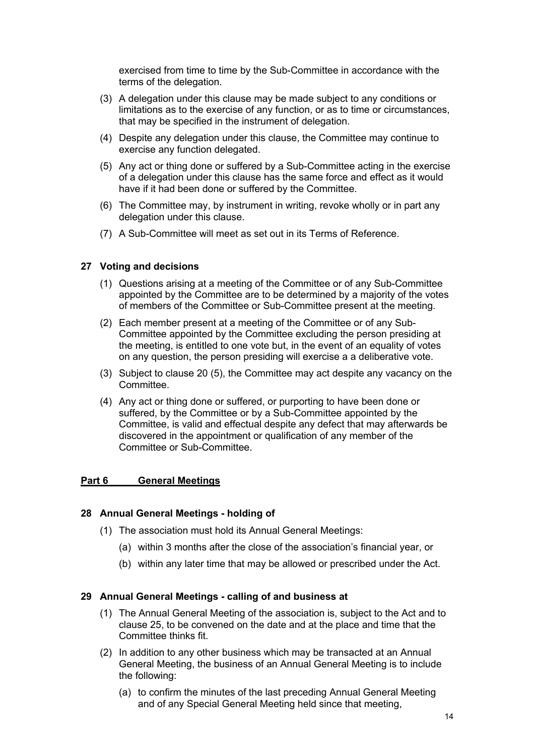exercised from time to time by the Sub-Committee in accordance with the terms of the delegation.

- (3) A delegation under this clause may be made subject to any conditions or limitations as to the exercise of any function, or as to time or circumstances, that may be specified in the instrument of delegation.
- (4) Despite any delegation under this clause, the Committee may continue to exercise any function delegated.
- (5) Any act or thing done or suffered by a Sub-Committee acting in the exercise of a delegation under this clause has the same force and effect as it would have if it had been done or suffered by the Committee.
- (6) The Committee may, by instrument in writing, revoke wholly or in part any delegation under this clause.
- (7) A Sub-Committee will meet as set out in its Terms of Reference.

## **27 Voting and decisions**

- (1) Questions arising at a meeting of the Committee or of any Sub-Committee appointed by the Committee are to be determined by a majority of the votes of members of the Committee or Sub-Committee present at the meeting.
- (2) Each member present at a meeting of the Committee or of any Sub-Committee appointed by the Committee excluding the person presiding at the meeting, is entitled to one vote but, in the event of an equality of votes on any question, the person presiding will exercise a a deliberative vote.
- (3) Subject to clause 20 (5), the Committee may act despite any vacancy on the Committee.
- (4) Any act or thing done or suffered, or purporting to have been done or suffered, by the Committee or by a Sub-Committee appointed by the Committee, is valid and effectual despite any defect that may afterwards be discovered in the appointment or qualification of any member of the Committee or Sub-Committee.

#### **Part 6 General Meetings**

#### **28 Annual General Meetings - holding of**

- (1) The association must hold its Annual General Meetings:
	- (a) within 3 months after the close of the association's financial year, or
	- (b) within any later time that may be allowed or prescribed under the Act.

#### **29 Annual General Meetings - calling of and business at**

- (1) The Annual General Meeting of the association is, subject to the Act and to clause 25, to be convened on the date and at the place and time that the Committee thinks fit.
- (2) In addition to any other business which may be transacted at an Annual General Meeting, the business of an Annual General Meeting is to include the following:
	- (a) to confirm the minutes of the last preceding Annual General Meeting and of any Special General Meeting held since that meeting,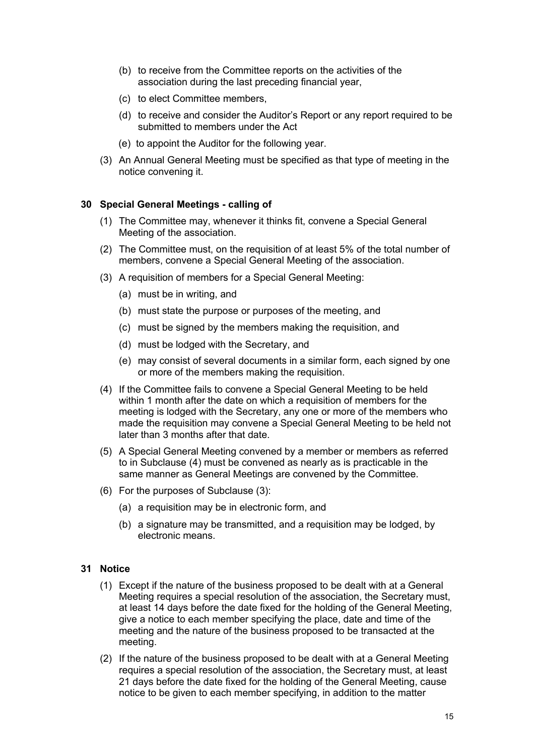- (b) to receive from the Committee reports on the activities of the association during the last preceding financial year,
- (c) to elect Committee members,
- (d) to receive and consider the Auditor's Report or any report required to be submitted to members under the Act
- (e) to appoint the Auditor for the following year.
- (3) An Annual General Meeting must be specified as that type of meeting in the notice convening it.

## **30 Special General Meetings - calling of**

- (1) The Committee may, whenever it thinks fit, convene a Special General Meeting of the association.
- (2) The Committee must, on the requisition of at least 5% of the total number of members, convene a Special General Meeting of the association.
- (3) A requisition of members for a Special General Meeting:
	- (a) must be in writing, and
	- (b) must state the purpose or purposes of the meeting, and
	- (c) must be signed by the members making the requisition, and
	- (d) must be lodged with the Secretary, and
	- (e) may consist of several documents in a similar form, each signed by one or more of the members making the requisition.
- (4) If the Committee fails to convene a Special General Meeting to be held within 1 month after the date on which a requisition of members for the meeting is lodged with the Secretary, any one or more of the members who made the requisition may convene a Special General Meeting to be held not later than 3 months after that date.
- (5) A Special General Meeting convened by a member or members as referred to in Subclause (4) must be convened as nearly as is practicable in the same manner as General Meetings are convened by the Committee.
- (6) For the purposes of Subclause (3):
	- (a) a requisition may be in electronic form, and
	- (b) a signature may be transmitted, and a requisition may be lodged, by electronic means.

# **31 Notice**

- (1) Except if the nature of the business proposed to be dealt with at a General Meeting requires a special resolution of the association, the Secretary must, at least 14 days before the date fixed for the holding of the General Meeting, give a notice to each member specifying the place, date and time of the meeting and the nature of the business proposed to be transacted at the meeting.
- (2) If the nature of the business proposed to be dealt with at a General Meeting requires a special resolution of the association, the Secretary must, at least 21 days before the date fixed for the holding of the General Meeting, cause notice to be given to each member specifying, in addition to the matter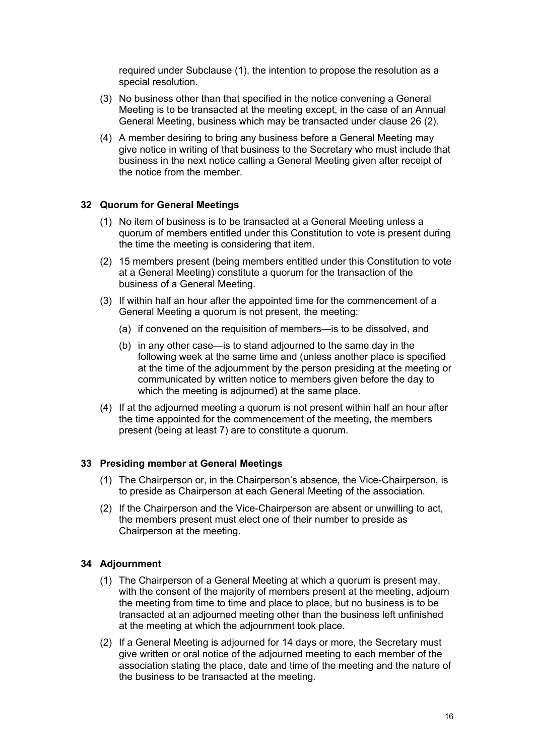required under Subclause (1), the intention to propose the resolution as a special resolution.

- (3) No business other than that specified in the notice convening a General Meeting is to be transacted at the meeting except, in the case of an Annual General Meeting, business which may be transacted under clause 26 (2).
- (4) A member desiring to bring any business before a General Meeting may give notice in writing of that business to the Secretary who must include that business in the next notice calling a General Meeting given after receipt of the notice from the member.

## **32 Quorum for General Meetings**

- (1) No item of business is to be transacted at a General Meeting unless a quorum of members entitled under this Constitution to vote is present during the time the meeting is considering that item.
- (2) 15 members present (being members entitled under this Constitution to vote at a General Meeting) constitute a quorum for the transaction of the business of a General Meeting.
- (3) If within half an hour after the appointed time for the commencement of a General Meeting a quorum is not present, the meeting:
	- (a) if convened on the requisition of members—is to be dissolved, and
	- (b) in any other case—is to stand adjourned to the same day in the following week at the same time and (unless another place is specified at the time of the adjournment by the person presiding at the meeting or communicated by written notice to members given before the day to which the meeting is adjourned) at the same place.
- (4) If at the adjourned meeting a quorum is not present within half an hour after the time appointed for the commencement of the meeting, the members present (being at least 7) are to constitute a quorum.

# **33 Presiding member at General Meetings**

- (1) The Chairperson or, in the Chairperson's absence, the Vice-Chairperson, is to preside as Chairperson at each General Meeting of the association.
- (2) If the Chairperson and the Vice-Chairperson are absent or unwilling to act, the members present must elect one of their number to preside as Chairperson at the meeting.

# **34 Adjournment**

- (1) The Chairperson of a General Meeting at which a quorum is present may, with the consent of the majority of members present at the meeting, adjourn the meeting from time to time and place to place, but no business is to be transacted at an adjourned meeting other than the business left unfinished at the meeting at which the adjournment took place.
- (2) If a General Meeting is adjourned for 14 days or more, the Secretary must give written or oral notice of the adjourned meeting to each member of the association stating the place, date and time of the meeting and the nature of the business to be transacted at the meeting.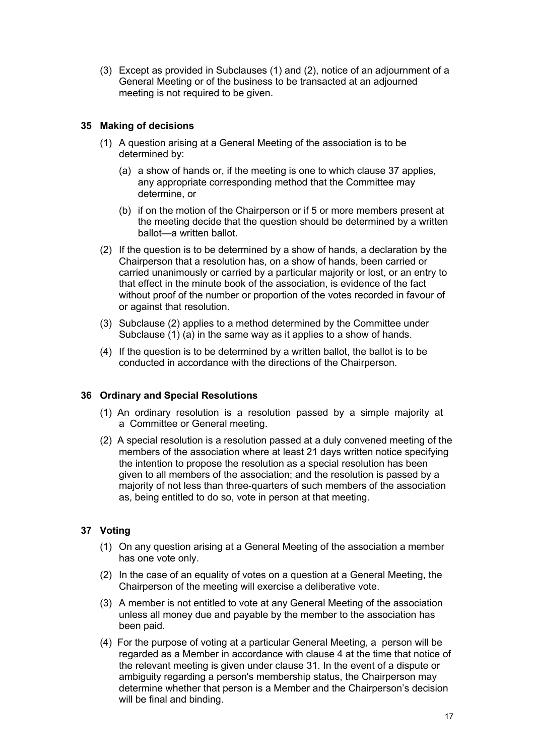(3) Except as provided in Subclauses (1) and (2), notice of an adjournment of a General Meeting or of the business to be transacted at an adjourned meeting is not required to be given.

# **35 Making of decisions**

- (1) A question arising at a General Meeting of the association is to be determined by:
	- (a) a show of hands or, if the meeting is one to which clause 37 applies, any appropriate corresponding method that the Committee may determine, or
	- (b) if on the motion of the Chairperson or if 5 or more members present at the meeting decide that the question should be determined by a written ballot—a written ballot.
- (2) If the question is to be determined by a show of hands, a declaration by the Chairperson that a resolution has, on a show of hands, been carried or carried unanimously or carried by a particular majority or lost, or an entry to that effect in the minute book of the association, is evidence of the fact without proof of the number or proportion of the votes recorded in favour of or against that resolution.
- (3) Subclause (2) applies to a method determined by the Committee under Subclause (1) (a) in the same way as it applies to a show of hands.
- (4) If the question is to be determined by a written ballot, the ballot is to be conducted in accordance with the directions of the Chairperson.

# **36 Ordinary and Special Resolutions**

- (1) An ordinary resolution is a resolution passed by a simple majority at a Committee or General meeting.
- (2) A special resolution is a resolution passed at a duly convened meeting of the members of the association where at least 21 days written notice specifying the intention to propose the resolution as a special resolution has been given to all members of the association; and the resolution is passed by a majority of not less than three-quarters of such members of the association as, being entitled to do so, vote in person at that meeting.

# **37 Voting**

- (1) On any question arising at a General Meeting of the association a member has one vote only.
- (2) In the case of an equality of votes on a question at a General Meeting, the Chairperson of the meeting will exercise a deliberative vote.
- (3) A member is not entitled to vote at any General Meeting of the association unless all money due and payable by the member to the association has been paid.
- (4) For the purpose of voting at a particular General Meeting, a person will be regarded as a Member in accordance with clause 4 at the time that notice of the relevant meeting is given under clause 31. In the event of a dispute or ambiguity regarding a person's membership status, the Chairperson may determine whether that person is a Member and the Chairperson's decision will be final and binding.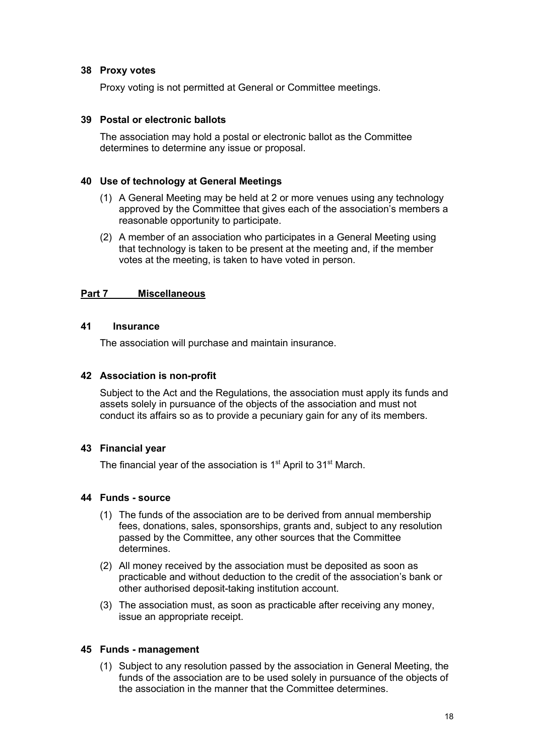## **38 Proxy votes**

Proxy voting is not permitted at General or Committee meetings.

## **39 Postal or electronic ballots**

The association may hold a postal or electronic ballot as the Committee determines to determine any issue or proposal.

## **40 Use of technology at General Meetings**

- (1) A General Meeting may be held at 2 or more venues using any technology approved by the Committee that gives each of the association's members a reasonable opportunity to participate.
- (2) A member of an association who participates in a General Meeting using that technology is taken to be present at the meeting and, if the member votes at the meeting, is taken to have voted in person.

## **Part 7 Miscellaneous**

## **41 Insurance**

The association will purchase and maintain insurance.

## **42 Association is non-profit**

Subject to the Act and the Regulations, the association must apply its funds and assets solely in pursuance of the objects of the association and must not conduct its affairs so as to provide a pecuniary gain for any of its members.

# **43 Financial year**

The financial year of the association is  $1<sup>st</sup>$  April to  $31<sup>st</sup>$  March.

#### **44 Funds - source**

- (1) The funds of the association are to be derived from annual membership fees, donations, sales, sponsorships, grants and, subject to any resolution passed by the Committee, any other sources that the Committee determines.
- (2) All money received by the association must be deposited as soon as practicable and without deduction to the credit of the association's bank or other authorised deposit-taking institution account.
- (3) The association must, as soon as practicable after receiving any money, issue an appropriate receipt.

#### **45 Funds - management**

(1) Subject to any resolution passed by the association in General Meeting, the funds of the association are to be used solely in pursuance of the objects of the association in the manner that the Committee determines.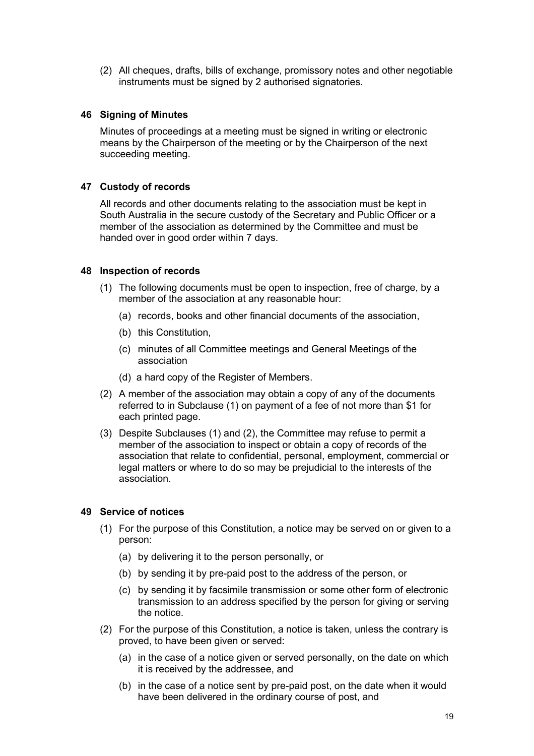(2) All cheques, drafts, bills of exchange, promissory notes and other negotiable instruments must be signed by 2 authorised signatories.

# **46 Signing of Minutes**

Minutes of proceedings at a meeting must be signed in writing or electronic means by the Chairperson of the meeting or by the Chairperson of the next succeeding meeting.

# **47 Custody of records**

All records and other documents relating to the association must be kept in South Australia in the secure custody of the Secretary and Public Officer or a member of the association as determined by the Committee and must be handed over in good order within 7 days.

#### **48 Inspection of records**

- (1) The following documents must be open to inspection, free of charge, by a member of the association at any reasonable hour:
	- (a) records, books and other financial documents of the association,
	- (b) this Constitution,
	- (c) minutes of all Committee meetings and General Meetings of the association
	- (d) a hard copy of the Register of Members.
- (2) A member of the association may obtain a copy of any of the documents referred to in Subclause (1) on payment of a fee of not more than \$1 for each printed page.
- (3) Despite Subclauses (1) and (2), the Committee may refuse to permit a member of the association to inspect or obtain a copy of records of the association that relate to confidential, personal, employment, commercial or legal matters or where to do so may be prejudicial to the interests of the association.

#### **49 Service of notices**

- (1) For the purpose of this Constitution, a notice may be served on or given to a person:
	- (a) by delivering it to the person personally, or
	- (b) by sending it by pre-paid post to the address of the person, or
	- (c) by sending it by facsimile transmission or some other form of electronic transmission to an address specified by the person for giving or serving the notice.
- (2) For the purpose of this Constitution, a notice is taken, unless the contrary is proved, to have been given or served:
	- (a) in the case of a notice given or served personally, on the date on which it is received by the addressee, and
	- (b) in the case of a notice sent by pre-paid post, on the date when it would have been delivered in the ordinary course of post, and